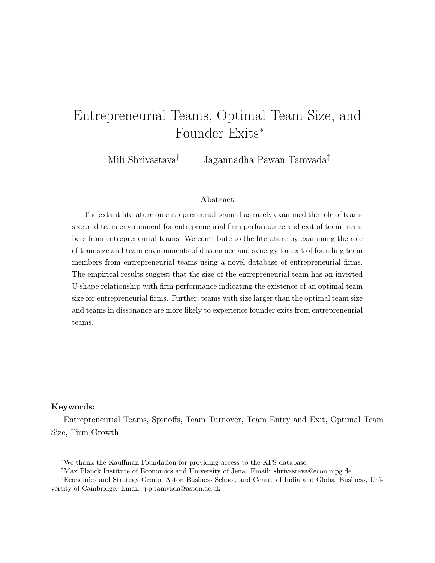# Entrepreneurial Teams, Optimal Team Size, and Founder Exits<sup>∗</sup>

Mili Shrivastava† Jagannadha Pawan Tamvada‡

### Abstract

The extant literature on entrepreneurial teams has rarely examined the role of teamsize and team environment for entrepreneurial firm performance and exit of team members from entrepreneurial teams. We contribute to the literature by examining the role of teamsize and team environments of dissonance and synergy for exit of founding team members from entrepreneurial teams using a novel database of entrepreneurial firms. The empirical results suggest that the size of the entrepreneurial team has an inverted U shape relationship with firm performance indicating the existence of an optimal team size for entrepreneurial firms. Further, teams with size larger than the optimal team size and teams in dissonance are more likely to experience founder exits from entrepreneurial teams.

#### Keywords:

Entrepreneurial Teams, Spinoffs, Team Turnover, Team Entry and Exit, Optimal Team Size, Firm Growth

<sup>∗</sup>We thank the Kauffman Foundation for providing access to the KFS database.

<sup>†</sup>Max Planck Institute of Economics and University of Jena. Email: shrivastava@econ.mpg.de

<sup>‡</sup>Economics and Strategy Group, Aston Business School, and Centre of India and Global Business, University of Cambridge. Email: j.p.tamvada@aston.ac.uk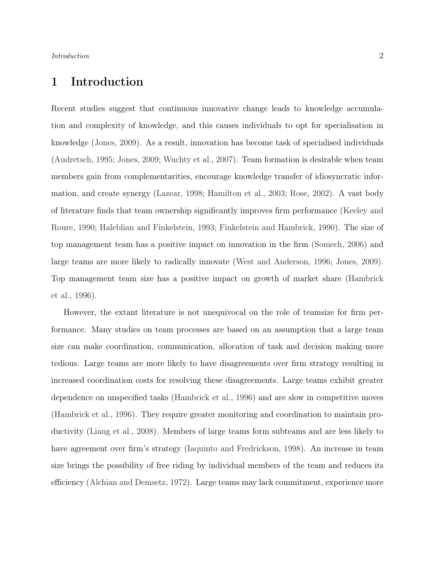# 1 Introduction

Recent studies suggest that continuous innovative change leads to knowledge accumulation and complexity of knowledge, and this causes individuals to opt for specialisation in knowledge [\(Jones,](#page-21-0) [2009\)](#page-21-0). As a result, innovation has become task of specialised individuals [\(Audretsch,](#page-19-0) [1995;](#page-19-0) [Jones,](#page-21-0) [2009;](#page-21-0) [Wuchty et al.,](#page-23-0) [2007\)](#page-23-0). Team formation is desirable when team members gain from complementarities, encourage knowledge transfer of idiosyncratic information, and create synergy [\(Lazear,](#page-21-1) [1998;](#page-21-1) [Hamilton et al.,](#page-21-2) [2003;](#page-21-2) [Rose,](#page-22-0) [2002\)](#page-22-0). A vast body of literature finds that team ownership significantly improves firm performance [\(Keeley and](#page-21-3) [Roure,](#page-21-3) [1990;](#page-21-3) [Haleblian and Finkelstein,](#page-21-4) [1993;](#page-21-4) [Finkelstein and Hambrick,](#page-20-0) [1990\)](#page-20-0). The size of top management team has a positive impact on innovation in the firm [\(Somech,](#page-22-1) [2006\)](#page-22-1) and large teams are more likely to radically innovate [\(West and Anderson,](#page-22-2) [1996;](#page-22-2) [Jones,](#page-21-0) [2009\)](#page-21-0). Top management team size has a positive impact on growth of market share [\(Hambrick](#page-21-5) [et al.,](#page-21-5) [1996\)](#page-21-5).

However, the extant literature is not unequivocal on the role of teamsize for firm performance. Many studies on team processes are based on an assumption that a large team size can make coordination, communication, allocation of task and decision making more tedious. Large teams are more likely to have disagreements over firm strategy resulting in increased coordination costs for resolving these disagreements. Large teams exhibit greater dependence on unspecified tasks [\(Hambrick et al.,](#page-21-5) [1996\)](#page-21-5) and are slow in competitive moves [\(Hambrick et al.,](#page-21-5) [1996\)](#page-21-5). They require greater monitoring and coordination to maintain productivity [\(Liang et al.,](#page-21-6) [2008\)](#page-21-6). Members of large teams form subteams and are less likely to have agreement over firm's strategy [\(Iaquinto and Fredrickson,](#page-21-7) [1998\)](#page-21-7). An increase in team size brings the possibility of free riding by individual members of the team and reduces its efficiency [\(Alchian and Demsetz,](#page-19-1) [1972\)](#page-19-1). Large teams may lack commitment, experience more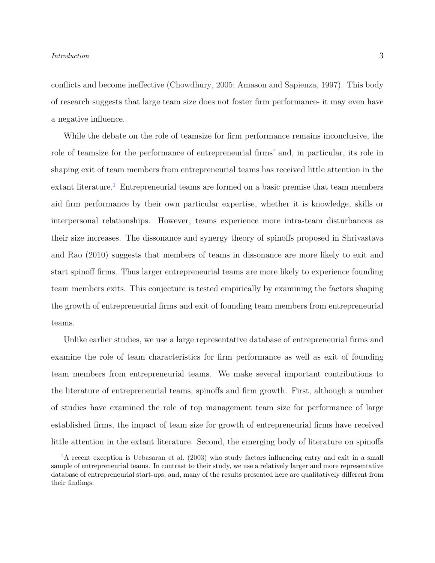### Introduction 3

conflicts and become ineffective [\(Chowdhury,](#page-19-2) [2005;](#page-19-2) [Amason and Sapienza,](#page-19-3) [1997\)](#page-19-3). This body of research suggests that large team size does not foster firm performance- it may even have a negative influence.

While the debate on the role of teamsize for firm performance remains inconclusive, the role of teamsize for the performance of entrepreneurial firms' and, in particular, its role in shaping exit of team members from entrepreneurial teams has received little attention in the extant literature.<sup>[1](#page-2-0)</sup> Entrepreneurial teams are formed on a basic premise that team members aid firm performance by their own particular expertise, whether it is knowledge, skills or interpersonal relationships. However, teams experience more intra-team disturbances as their size increases. The dissonance and synergy theory of spinoffs proposed in [Shrivastava](#page-22-3) [and Rao](#page-22-3) [\(2010\)](#page-22-3) suggests that members of teams in dissonance are more likely to exit and start spinoff firms. Thus larger entrepreneurial teams are more likely to experience founding team members exits. This conjecture is tested empirically by examining the factors shaping the growth of entrepreneurial firms and exit of founding team members from entrepreneurial teams.

Unlike earlier studies, we use a large representative database of entrepreneurial firms and examine the role of team characteristics for firm performance as well as exit of founding team members from entrepreneurial teams. We make several important contributions to the literature of entrepreneurial teams, spinoffs and firm growth. First, although a number of studies have examined the role of top management team size for performance of large established firms, the impact of team size for growth of entrepreneurial firms have received little attention in the extant literature. Second, the emerging body of literature on spinoffs

<span id="page-2-0"></span><sup>&</sup>lt;sup>1</sup>A recent exception is [Ucbasaran et al.](#page-22-4) [\(2003\)](#page-22-4) who study factors influencing entry and exit in a small sample of entrepreneurial teams. In contrast to their study, we use a relatively larger and more representative database of entrepreneurial start-ups; and, many of the results presented here are qualitatively different from their findings.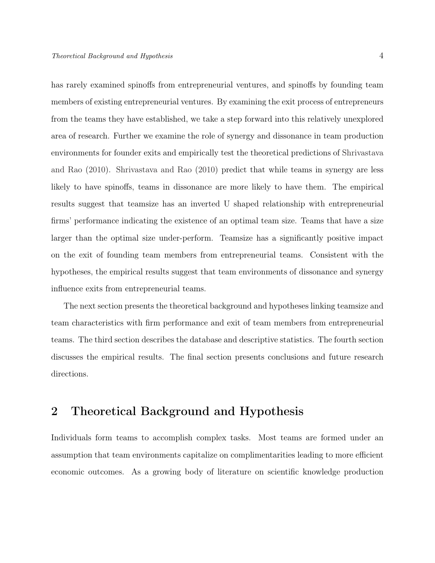has rarely examined spinoffs from entrepreneurial ventures, and spinoffs by founding team members of existing entrepreneurial ventures. By examining the exit process of entrepreneurs from the teams they have established, we take a step forward into this relatively unexplored area of research. Further we examine the role of synergy and dissonance in team production environments for founder exits and empirically test the theoretical predictions of [Shrivastava](#page-22-3) [and Rao](#page-22-3) [\(2010\)](#page-22-3). [Shrivastava and Rao](#page-22-3) [\(2010\)](#page-22-3) predict that while teams in synergy are less likely to have spinoffs, teams in dissonance are more likely to have them. The empirical results suggest that teamsize has an inverted U shaped relationship with entrepreneurial firms' performance indicating the existence of an optimal team size. Teams that have a size larger than the optimal size under-perform. Teamsize has a significantly positive impact on the exit of founding team members from entrepreneurial teams. Consistent with the hypotheses, the empirical results suggest that team environments of dissonance and synergy influence exits from entrepreneurial teams.

The next section presents the theoretical background and hypotheses linking teamsize and team characteristics with firm performance and exit of team members from entrepreneurial teams. The third section describes the database and descriptive statistics. The fourth section discusses the empirical results. The final section presents conclusions and future research directions.

# 2 Theoretical Background and Hypothesis

Individuals form teams to accomplish complex tasks. Most teams are formed under an assumption that team environments capitalize on complimentarities leading to more efficient economic outcomes. As a growing body of literature on scientific knowledge production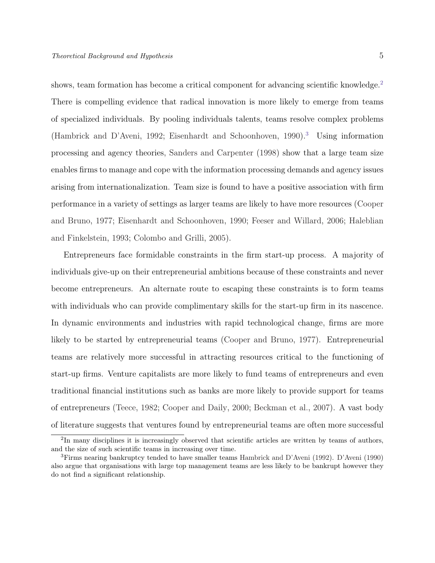shows, team formation has become a critical component for advancing scientific knowledge.<sup>[2](#page-4-0)</sup> There is compelling evidence that radical innovation is more likely to emerge from teams of specialized individuals. By pooling individuals talents, teams resolve complex problems [\(Hambrick and D'Aveni,](#page-21-8) [1992;](#page-21-8) [Eisenhardt and Schoonhoven,](#page-20-1) [1990\)](#page-20-1).[3](#page-4-1) Using information processing and agency theories, [Sanders and Carpenter](#page-22-5) [\(1998\)](#page-22-5) show that a large team size enables firms to manage and cope with the information processing demands and agency issues arising from internationalization. Team size is found to have a positive association with firm performance in a variety of settings as larger teams are likely to have more resources [\(Cooper](#page-20-2) [and Bruno,](#page-20-2) [1977;](#page-20-2) [Eisenhardt and Schoonhoven,](#page-20-1) [1990;](#page-20-1) [Feeser and Willard,](#page-20-3) [2006;](#page-20-3) [Haleblian](#page-21-4) [and Finkelstein,](#page-21-4) [1993;](#page-21-4) [Colombo and Grilli,](#page-19-4) [2005\)](#page-19-4).

Entrepreneurs face formidable constraints in the firm start-up process. A majority of individuals give-up on their entrepreneurial ambitions because of these constraints and never become entrepreneurs. An alternate route to escaping these constraints is to form teams with individuals who can provide complimentary skills for the start-up firm in its nascence. In dynamic environments and industries with rapid technological change, firms are more likely to be started by entrepreneurial teams [\(Cooper and Bruno,](#page-20-2) [1977\)](#page-20-2). Entrepreneurial teams are relatively more successful in attracting resources critical to the functioning of start-up firms. Venture capitalists are more likely to fund teams of entrepreneurs and even traditional financial institutions such as banks are more likely to provide support for teams of entrepreneurs [\(Teece,](#page-22-6) [1982;](#page-22-6) [Cooper and Daily,](#page-20-4) [2000;](#page-20-4) [Beckman et al.,](#page-19-5) [2007\)](#page-19-5). A vast body of literature suggests that ventures found by entrepreneurial teams are often more successful

<span id="page-4-0"></span><sup>&</sup>lt;sup>2</sup>In many disciplines it is increasingly observed that scientific articles are written by teams of authors, and the size of such scientific teams in increasing over time.

<span id="page-4-1"></span><sup>3</sup>Firms nearing bankruptcy tended to have smaller teams [Hambrick and D'Aveni](#page-21-8) [\(1992\)](#page-21-8). [D'Aveni](#page-20-5) [\(1990\)](#page-20-5) also argue that organisations with large top management teams are less likely to be bankrupt however they do not find a significant relationship.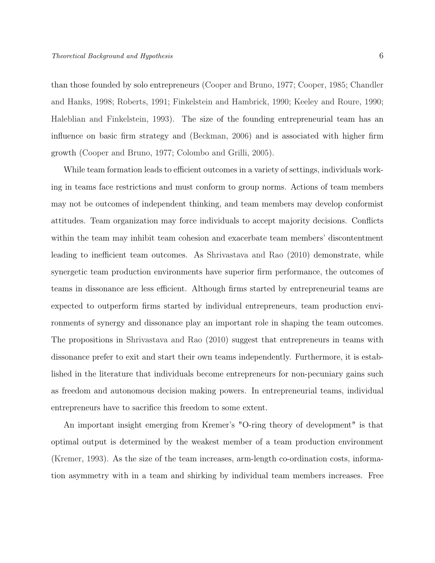than those founded by solo entrepreneurs [\(Cooper and Bruno,](#page-20-2) [1977;](#page-20-2) [Cooper,](#page-20-6) [1985;](#page-20-6) [Chandler](#page-19-6) [and Hanks,](#page-19-6) [1998;](#page-19-6) [Roberts,](#page-22-7) [1991;](#page-22-7) [Finkelstein and Hambrick,](#page-20-0) [1990;](#page-20-0) [Keeley and Roure,](#page-21-3) [1990;](#page-21-3) [Haleblian and Finkelstein,](#page-21-4) [1993\)](#page-21-4). The size of the founding entrepreneurial team has an influence on basic firm strategy and [\(Beckman,](#page-19-7) [2006\)](#page-19-7) and is associated with higher firm growth [\(Cooper and Bruno,](#page-20-2) [1977;](#page-20-2) [Colombo and Grilli,](#page-19-4) [2005\)](#page-19-4).

While team formation leads to efficient outcomes in a variety of settings, individuals working in teams face restrictions and must conform to group norms. Actions of team members may not be outcomes of independent thinking, and team members may develop conformist attitudes. Team organization may force individuals to accept majority decisions. Conflicts within the team may inhibit team cohesion and exacerbate team members' discontentment leading to inefficient team outcomes. As [Shrivastava and Rao](#page-22-3) [\(2010\)](#page-22-3) demonstrate, while synergetic team production environments have superior firm performance, the outcomes of teams in dissonance are less efficient. Although firms started by entrepreneurial teams are expected to outperform firms started by individual entrepreneurs, team production environments of synergy and dissonance play an important role in shaping the team outcomes. The propositions in [Shrivastava and Rao](#page-22-3) [\(2010\)](#page-22-3) suggest that entrepreneurs in teams with dissonance prefer to exit and start their own teams independently. Furthermore, it is established in the literature that individuals become entrepreneurs for non-pecuniary gains such as freedom and autonomous decision making powers. In entrepreneurial teams, individual entrepreneurs have to sacrifice this freedom to some extent.

An important insight emerging from Kremer's "O-ring theory of development" is that optimal output is determined by the weakest member of a team production environment [\(Kremer,](#page-21-9) [1993\)](#page-21-9). As the size of the team increases, arm-length co-ordination costs, information asymmetry with in a team and shirking by individual team members increases. Free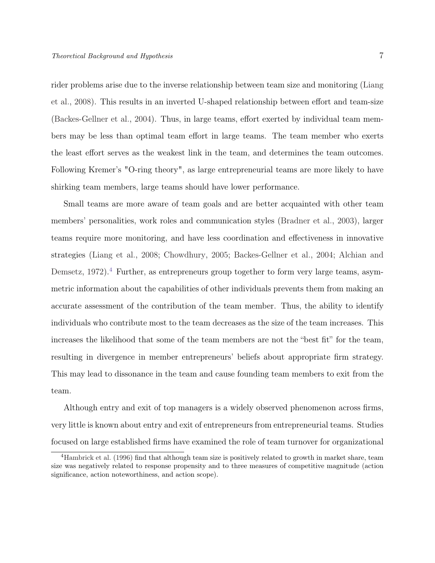rider problems arise due to the inverse relationship between team size and monitoring [\(Liang](#page-21-6) [et al.,](#page-21-6) [2008\)](#page-21-6). This results in an inverted U-shaped relationship between effort and team-size [\(Backes-Gellner et al.,](#page-19-8) [2004\)](#page-19-8). Thus, in large teams, effort exerted by individual team members may be less than optimal team effort in large teams. The team member who exerts the least effort serves as the weakest link in the team, and determines the team outcomes. Following Kremer's "O-ring theory", as large entrepreneurial teams are more likely to have shirking team members, large teams should have lower performance.

Small teams are more aware of team goals and are better acquainted with other team members' personalities, work roles and communication styles [\(Bradner et al.,](#page-19-9) [2003\)](#page-19-9), larger teams require more monitoring, and have less coordination and effectiveness in innovative strategies [\(Liang et al.,](#page-21-6) [2008;](#page-21-6) [Chowdhury,](#page-19-2) [2005;](#page-19-2) [Backes-Gellner et al.,](#page-19-8) [2004;](#page-19-8) [Alchian and](#page-19-1) [Demsetz,](#page-19-1) [1972\)](#page-19-1).<sup>[4](#page-6-0)</sup> Further, as entrepreneurs group together to form very large teams, asymmetric information about the capabilities of other individuals prevents them from making an accurate assessment of the contribution of the team member. Thus, the ability to identify individuals who contribute most to the team decreases as the size of the team increases. This increases the likelihood that some of the team members are not the "best fit" for the team, resulting in divergence in member entrepreneurs' beliefs about appropriate firm strategy. This may lead to dissonance in the team and cause founding team members to exit from the team.

Although entry and exit of top managers is a widely observed phenomenon across firms, very little is known about entry and exit of entrepreneurs from entrepreneurial teams. Studies focused on large established firms have examined the role of team turnover for organizational

<span id="page-6-0"></span><sup>&</sup>lt;sup>4</sup>[Hambrick et al.](#page-21-5) [\(1996\)](#page-21-5) find that although team size is positively related to growth in market share, team size was negatively related to response propensity and to three measures of competitive magnitude (action significance, action noteworthiness, and action scope).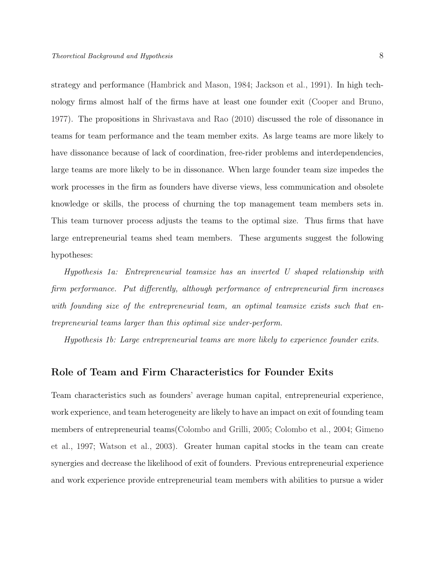strategy and performance [\(Hambrick and Mason,](#page-21-10) [1984;](#page-21-10) [Jackson et al.,](#page-21-11) [1991\)](#page-21-11). In high technology firms almost half of the firms have at least one founder exit [\(Cooper and Bruno,](#page-20-2) [1977\)](#page-20-2). The propositions in [Shrivastava and Rao](#page-22-3) [\(2010\)](#page-22-3) discussed the role of dissonance in teams for team performance and the team member exits. As large teams are more likely to have dissonance because of lack of coordination, free-rider problems and interdependencies, large teams are more likely to be in dissonance. When large founder team size impedes the work processes in the firm as founders have diverse views, less communication and obsolete knowledge or skills, the process of churning the top management team members sets in. This team turnover process adjusts the teams to the optimal size. Thus firms that have large entrepreneurial teams shed team members. These arguments suggest the following hypotheses:

Hypothesis 1a: Entrepreneurial teamsize has an inverted U shaped relationship with firm performance. Put differently, although performance of entrepreneurial firm increases with founding size of the entrepreneurial team, an optimal teamsize exists such that entrepreneurial teams larger than this optimal size under-perform.

Hypothesis 1b: Large entrepreneurial teams are more likely to experience founder exits.

### Role of Team and Firm Characteristics for Founder Exits

Team characteristics such as founders' average human capital, entrepreneurial experience, work experience, and team heterogeneity are likely to have an impact on exit of founding team members of entrepreneurial teams[\(Colombo and Grilli,](#page-19-4) [2005;](#page-19-4) [Colombo et al.,](#page-19-10) [2004;](#page-19-10) [Gimeno](#page-20-7) [et al.,](#page-20-7) [1997;](#page-20-7) [Watson et al.,](#page-22-8) [2003\)](#page-22-8). Greater human capital stocks in the team can create synergies and decrease the likelihood of exit of founders. Previous entrepreneurial experience and work experience provide entrepreneurial team members with abilities to pursue a wider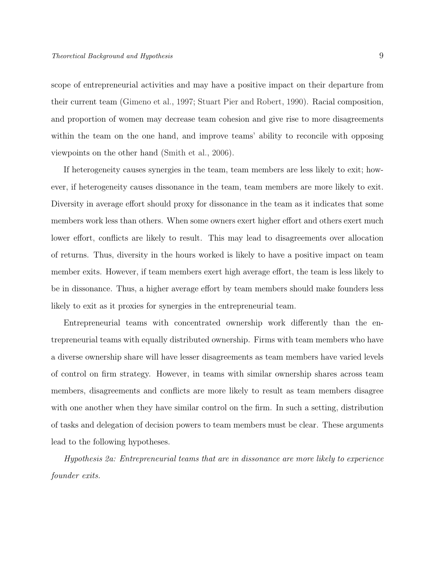scope of entrepreneurial activities and may have a positive impact on their departure from their current team [\(Gimeno et al.,](#page-20-7) [1997;](#page-20-7) [Stuart Pier and Robert,](#page-22-9) [1990\)](#page-22-9). Racial composition, and proportion of women may decrease team cohesion and give rise to more disagreements within the team on the one hand, and improve teams' ability to reconcile with opposing viewpoints on the other hand [\(Smith et al.,](#page-22-10) [2006\)](#page-22-10).

If heterogeneity causes synergies in the team, team members are less likely to exit; however, if heterogeneity causes dissonance in the team, team members are more likely to exit. Diversity in average effort should proxy for dissonance in the team as it indicates that some members work less than others. When some owners exert higher effort and others exert much lower effort, conflicts are likely to result. This may lead to disagreements over allocation of returns. Thus, diversity in the hours worked is likely to have a positive impact on team member exits. However, if team members exert high average effort, the team is less likely to be in dissonance. Thus, a higher average effort by team members should make founders less likely to exit as it proxies for synergies in the entrepreneurial team.

Entrepreneurial teams with concentrated ownership work differently than the entrepreneurial teams with equally distributed ownership. Firms with team members who have a diverse ownership share will have lesser disagreements as team members have varied levels of control on firm strategy. However, in teams with similar ownership shares across team members, disagreements and conflicts are more likely to result as team members disagree with one another when they have similar control on the firm. In such a setting, distribution of tasks and delegation of decision powers to team members must be clear. These arguments lead to the following hypotheses.

Hypothesis 2a: Entrepreneurial teams that are in dissonance are more likely to experience founder exits.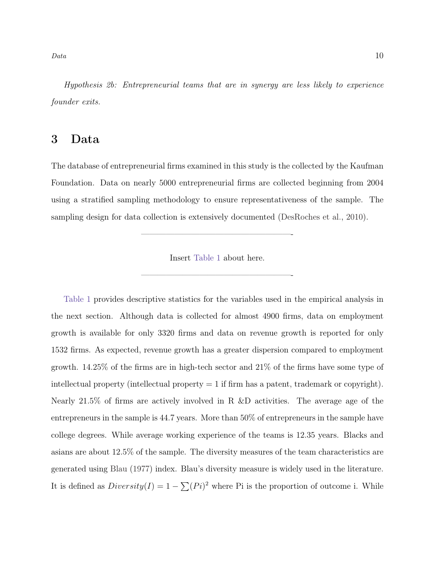$Data$  10

Hypothesis 2b: Entrepreneurial teams that are in synergy are less likely to experience founder exits.

### 3 Data

The database of entrepreneurial firms examined in this study is the collected by the Kaufman Foundation. Data on nearly 5000 entrepreneurial firms are collected beginning from 2004 using a stratified sampling methodology to ensure representativeness of the sample. The sampling design for data collection is extensively documented [\(DesRoches et al.,](#page-20-8) [2010\)](#page-20-8).

Insert [Table 1](#page-27-0) about here.

——————————————————-

——————————————————-

[Table 1](#page-27-0) provides descriptive statistics for the variables used in the empirical analysis in the next section. Although data is collected for almost 4900 firms, data on employment growth is available for only 3320 firms and data on revenue growth is reported for only 1532 firms. As expected, revenue growth has a greater dispersion compared to employment growth. 14.25% of the firms are in high-tech sector and 21% of the firms have some type of intellectual property (intellectual property  $= 1$  if firm has a patent, trademark or copyright). Nearly 21.5% of firms are actively involved in R &D activities. The average age of the entrepreneurs in the sample is 44.7 years. More than 50% of entrepreneurs in the sample have college degrees. While average working experience of the teams is 12.35 years. Blacks and asians are about 12.5% of the sample. The diversity measures of the team characteristics are generated using [Blau](#page-19-11) [\(1977\)](#page-19-11) index. Blau's diversity measure is widely used in the literature. It is defined as  $Diversity(I) = 1 - \sum (Pi)^2$  where Pi is the proportion of outcome i. While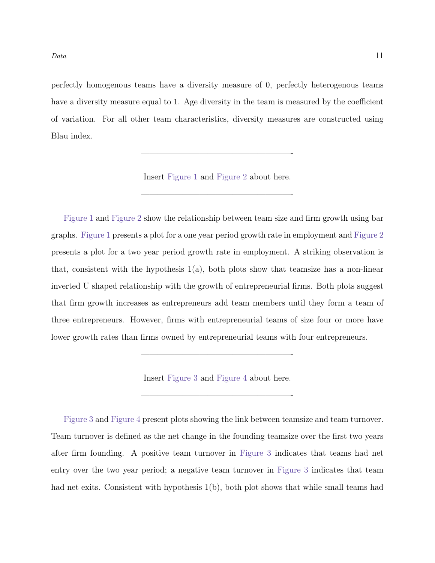$Data$  11

perfectly homogenous teams have a diversity measure of 0, perfectly heterogenous teams have a diversity measure equal to 1. Age diversity in the team is measured by the coefficient of variation. For all other team characteristics, diversity measures are constructed using Blau index.

Insert [Figure 1](#page-24-0) and [Figure 2](#page-25-0) about here.

——————————————————-

——————————————————-

[Figure 1](#page-24-0) and [Figure 2](#page-25-0) show the relationship between team size and firm growth using bar graphs. [Figure 1](#page-24-0) presents a plot for a one year period growth rate in employment and [Figure 2](#page-25-0) presents a plot for a two year period growth rate in employment. A striking observation is that, consistent with the hypothesis  $1(a)$ , both plots show that teamsize has a non-linear inverted U shaped relationship with the growth of entrepreneurial firms. Both plots suggest that firm growth increases as entrepreneurs add team members until they form a team of three entrepreneurs. However, firms with entrepreneurial teams of size four or more have lower growth rates than firms owned by entrepreneurial teams with four entrepreneurs.

Insert [Figure 3](#page-26-0) and [Figure 4](#page-26-1) about here.

——————————————————-

——————————————————-

[Figure 3](#page-26-0) and [Figure 4](#page-26-1) present plots showing the link between teamsize and team turnover. Team turnover is defined as the net change in the founding teamsize over the first two years after firm founding. A positive team turnover in [Figure 3](#page-26-0) indicates that teams had net entry over the two year period; a negative team turnover in [Figure 3](#page-26-0) indicates that team had net exits. Consistent with hypothesis  $1(b)$ , both plot shows that while small teams had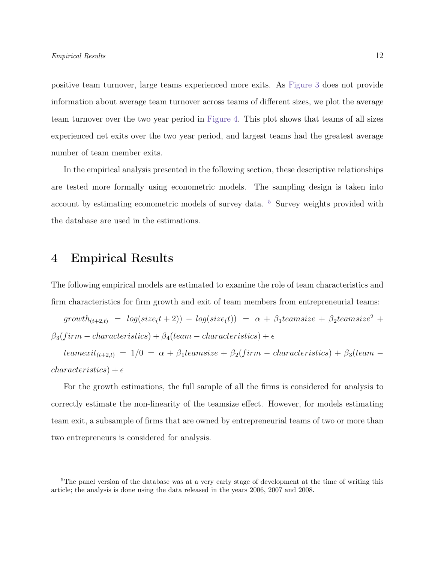positive team turnover, large teams experienced more exits. As [Figure 3](#page-26-0) does not provide information about average team turnover across teams of different sizes, we plot the average team turnover over the two year period in [Figure 4.](#page-26-1) This plot shows that teams of all sizes experienced net exits over the two year period, and largest teams had the greatest average number of team member exits.

In the empirical analysis presented in the following section, these descriptive relationships are tested more formally using econometric models. The sampling design is taken into account by estimating econometric models of survey data. [5](#page-11-0) Survey weights provided with the database are used in the estimations.

### 4 Empirical Results

The following empirical models are estimated to examine the role of team characteristics and firm characteristics for firm growth and exit of team members from entrepreneurial teams:

 $growth_{(t+2,t)} = log(size(t+2)) - log(size(t)) = \alpha + \beta_1 teamsize + \beta_2 teamsize^2 +$  $\beta_3(firm-characteristics) + \beta_4(team-characteristics) + \epsilon$ 

teamexit<sub>(t+2,t)</sub> = 1/0 =  $\alpha + \beta_1$ teamsize +  $\beta_2(firm - characteristics) + \beta_3(team$  $characteristics$ ) +  $\epsilon$ 

For the growth estimations, the full sample of all the firms is considered for analysis to correctly estimate the non-linearity of the teamsize effect. However, for models estimating team exit, a subsample of firms that are owned by entrepreneurial teams of two or more than two entrepreneurs is considered for analysis.

<span id="page-11-0"></span><sup>&</sup>lt;sup>5</sup>The panel version of the database was at a very early stage of development at the time of writing this article; the analysis is done using the data released in the years 2006, 2007 and 2008.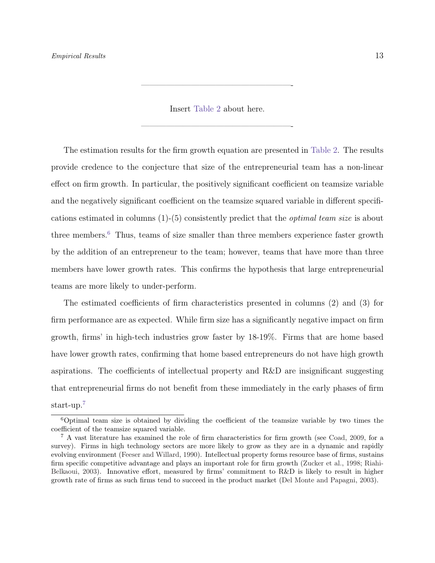Insert [Table 2](#page-28-0) about here.

——————————————————-

——————————————————-

The estimation results for the firm growth equation are presented in [Table 2.](#page-28-0) The results provide credence to the conjecture that size of the entrepreneurial team has a non-linear effect on firm growth. In particular, the positively significant coefficient on teamsize variable and the negatively significant coefficient on the teamsize squared variable in different specifications estimated in columns  $(1)-(5)$  consistently predict that the *optimal team size* is about three members.[6](#page-12-0) Thus, teams of size smaller than three members experience faster growth by the addition of an entrepreneur to the team; however, teams that have more than three members have lower growth rates. This confirms the hypothesis that large entrepreneurial teams are more likely to under-perform.

The estimated coefficients of firm characteristics presented in columns (2) and (3) for firm performance are as expected. While firm size has a significantly negative impact on firm growth, firms' in high-tech industries grow faster by 18-19%. Firms that are home based have lower growth rates, confirming that home based entrepreneurs do not have high growth aspirations. The coefficients of intellectual property and R&D are insignificant suggesting that entrepreneurial firms do not benefit from these immediately in the early phases of firm start-up.[7](#page-12-1)

<span id="page-12-0"></span> $6$ Optimal team size is obtained by dividing the coefficient of the teamsize variable by two times the coefficient of the teamsize squared variable.

<span id="page-12-1"></span><sup>7</sup> A vast literature has examined the role of firm characteristics for firm growth (see [Coad,](#page-19-12) [2009,](#page-19-12) for a survey). Firms in high technology sectors are more likely to grow as they are in a dynamic and rapidly evolving environment [\(Feeser and Willard,](#page-20-9) [1990\)](#page-20-9). Intellectual property forms resource base of firms, sustains firm specific competitive advantage and plays an important role for firm growth [\(Zucker et al.,](#page-23-1) [1998;](#page-23-1) [Riahi-](#page-22-11)[Belkaoui,](#page-22-11) [2003\)](#page-22-11). Innovative effort, measured by firms' commitment to R&D is likely to result in higher growth rate of firms as such firms tend to succeed in the product market [\(Del Monte and Papagni,](#page-20-10) [2003\)](#page-20-10).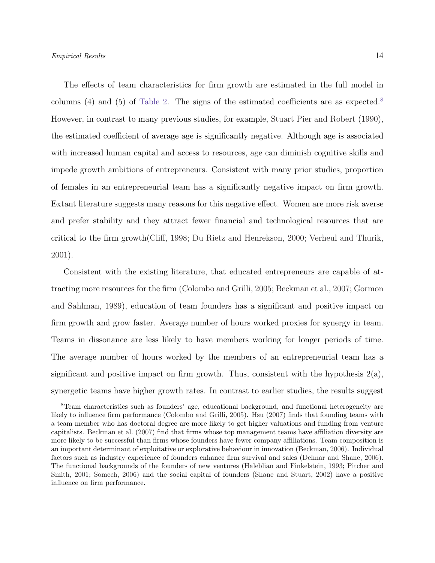The effects of team characteristics for firm growth are estimated in the full model in columns (4) and (5) of [Table 2.](#page-28-0) The signs of the estimated coefficients are as expected.<sup>[8](#page-13-0)</sup> However, in contrast to many previous studies, for example, [Stuart Pier and Robert](#page-22-9) [\(1990\)](#page-22-9), the estimated coefficient of average age is significantly negative. Although age is associated with increased human capital and access to resources, age can diminish cognitive skills and impede growth ambitions of entrepreneurs. Consistent with many prior studies, proportion of females in an entrepreneurial team has a significantly negative impact on firm growth. Extant literature suggests many reasons for this negative effect. Women are more risk averse and prefer stability and they attract fewer financial and technological resources that are critical to the firm growth[\(Cliff,](#page-19-13) [1998;](#page-19-13) [Du Rietz and Henrekson,](#page-20-11) [2000;](#page-20-11) [Verheul and Thurik,](#page-22-12) [2001\)](#page-22-12).

Consistent with the existing literature, that educated entrepreneurs are capable of attracting more resources for the firm [\(Colombo and Grilli,](#page-19-4) [2005;](#page-19-4) [Beckman et al.,](#page-19-5) [2007;](#page-19-5) [Gormon](#page-20-12) [and Sahlman,](#page-20-12) [1989\)](#page-20-12), education of team founders has a significant and positive impact on firm growth and grow faster. Average number of hours worked proxies for synergy in team. Teams in dissonance are less likely to have members working for longer periods of time. The average number of hours worked by the members of an entrepreneurial team has a significant and positive impact on firm growth. Thus, consistent with the hypothesis  $2(a)$ , synergetic teams have higher growth rates. In contrast to earlier studies, the results suggest

<span id="page-13-0"></span><sup>8</sup>Team characteristics such as founders' age, educational background, and functional heterogeneity are likely to influence firm performance [\(Colombo and Grilli,](#page-19-4) [2005\)](#page-19-4). [Hsu](#page-21-12) [\(2007\)](#page-21-12) finds that founding teams with a team member who has doctoral degree are more likely to get higher valuations and funding from venture capitalists. [Beckman et al.](#page-19-5) [\(2007\)](#page-19-5) find that firms whose top management teams have affiliation diversity are more likely to be successful than firms whose founders have fewer company affiliations. Team composition is an important determinant of exploitative or explorative behaviour in innovation [\(Beckman,](#page-19-7) [2006\)](#page-19-7). Individual factors such as industry experience of founders enhance firm survival and sales [\(Delmar and Shane,](#page-20-13) [2006\)](#page-20-13). The functional backgrounds of the founders of new ventures [\(Haleblian and Finkelstein,](#page-21-4) [1993;](#page-21-4) [Pitcher and](#page-21-13) [Smith,](#page-21-13) [2001;](#page-21-13) [Somech,](#page-22-1) [2006\)](#page-22-1) and the social capital of founders [\(Shane and Stuart,](#page-22-13) [2002\)](#page-22-13) have a positive influence on firm performance.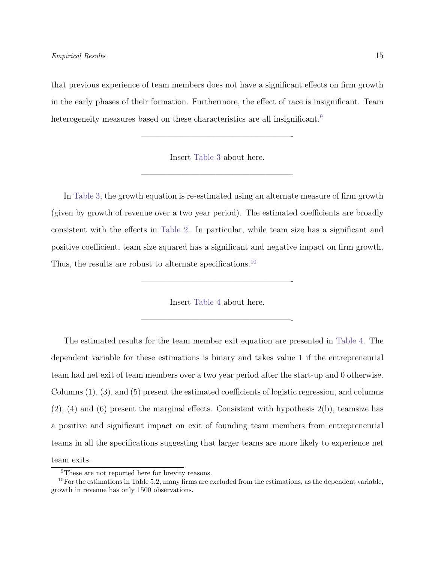that previous experience of team members does not have a significant effects on firm growth in the early phases of their formation. Furthermore, the effect of race is insignificant. Team heterogeneity measures based on these characteristics are all insignificant.<sup>[9](#page-14-0)</sup>

Insert [Table 3](#page-29-0) about here.

——————————————————-

——————————————————-

In [Table 3,](#page-29-0) the growth equation is re-estimated using an alternate measure of firm growth (given by growth of revenue over a two year period). The estimated coefficients are broadly consistent with the effects in [Table 2.](#page-28-0) In particular, while team size has a significant and positive coefficient, team size squared has a significant and negative impact on firm growth. Thus, the results are robust to alternate specifications.<sup>[10](#page-14-1)</sup>

Insert [Table 4](#page-30-0) about here.

——————————————————-

——————————————————-

The estimated results for the team member exit equation are presented in [Table 4.](#page-30-0) The dependent variable for these estimations is binary and takes value 1 if the entrepreneurial team had net exit of team members over a two year period after the start-up and 0 otherwise. Columns (1), (3), and (5) present the estimated coefficients of logistic regression, and columns (2), (4) and (6) present the marginal effects. Consistent with hypothesis 2(b), teamsize has a positive and significant impact on exit of founding team members from entrepreneurial teams in all the specifications suggesting that larger teams are more likely to experience net team exits.

<span id="page-14-1"></span><span id="page-14-0"></span><sup>&</sup>lt;sup>9</sup>These are not reported here for brevity reasons.

 $10$ For the estimations in Table 5.2, many firms are excluded from the estimations, as the dependent variable, growth in revenue has only 1500 observations.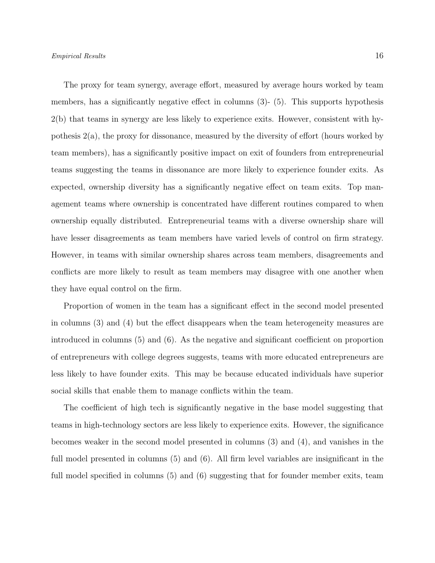The proxy for team synergy, average effort, measured by average hours worked by team members, has a significantly negative effect in columns  $(3)$ - $(5)$ . This supports hypothesis 2(b) that teams in synergy are less likely to experience exits. However, consistent with hypothesis 2(a), the proxy for dissonance, measured by the diversity of effort (hours worked by team members), has a significantly positive impact on exit of founders from entrepreneurial

teams suggesting the teams in dissonance are more likely to experience founder exits. As expected, ownership diversity has a significantly negative effect on team exits. Top management teams where ownership is concentrated have different routines compared to when ownership equally distributed. Entrepreneurial teams with a diverse ownership share will have lesser disagreements as team members have varied levels of control on firm strategy. However, in teams with similar ownership shares across team members, disagreements and conflicts are more likely to result as team members may disagree with one another when they have equal control on the firm.

Proportion of women in the team has a significant effect in the second model presented in columns (3) and (4) but the effect disappears when the team heterogeneity measures are introduced in columns (5) and (6). As the negative and significant coefficient on proportion of entrepreneurs with college degrees suggests, teams with more educated entrepreneurs are less likely to have founder exits. This may be because educated individuals have superior social skills that enable them to manage conflicts within the team.

The coefficient of high tech is significantly negative in the base model suggesting that teams in high-technology sectors are less likely to experience exits. However, the significance becomes weaker in the second model presented in columns (3) and (4), and vanishes in the full model presented in columns (5) and (6). All firm level variables are insignificant in the full model specified in columns  $(5)$  and  $(6)$  suggesting that for founder member exits, team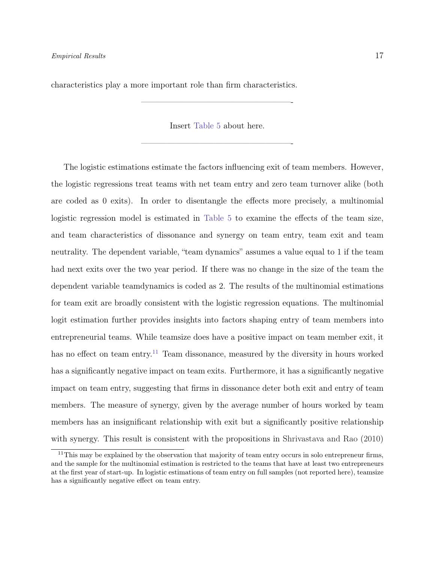characteristics play a more important role than firm characteristics.

Insert [Table 5](#page-32-0) about here.

——————————————————-

——————————————————-

The logistic estimations estimate the factors influencing exit of team members. However, the logistic regressions treat teams with net team entry and zero team turnover alike (both are coded as 0 exits). In order to disentangle the effects more precisely, a multinomial logistic regression model is estimated in [Table 5](#page-32-0) to examine the effects of the team size, and team characteristics of dissonance and synergy on team entry, team exit and team neutrality. The dependent variable, "team dynamics" assumes a value equal to 1 if the team had next exits over the two year period. If there was no change in the size of the team the dependent variable teamdynamics is coded as 2. The results of the multinomial estimations for team exit are broadly consistent with the logistic regression equations. The multinomial logit estimation further provides insights into factors shaping entry of team members into entrepreneurial teams. While teamsize does have a positive impact on team member exit, it has no effect on team entry.<sup>[11](#page-16-0)</sup> Team dissonance, measured by the diversity in hours worked has a significantly negative impact on team exits. Furthermore, it has a significantly negative impact on team entry, suggesting that firms in dissonance deter both exit and entry of team members. The measure of synergy, given by the average number of hours worked by team members has an insignificant relationship with exit but a significantly positive relationship with synergy. This result is consistent with the propositions in [Shrivastava and Rao](#page-22-3) [\(2010\)](#page-22-3)

<span id="page-16-0"></span><sup>&</sup>lt;sup>11</sup>This may be explained by the observation that majority of team entry occurs in solo entrepreneur firms, and the sample for the multinomial estimation is restricted to the teams that have at least two entrepreneurs at the first year of start-up. In logistic estimations of team entry on full samples (not reported here), teamsize has a significantly negative effect on team entry.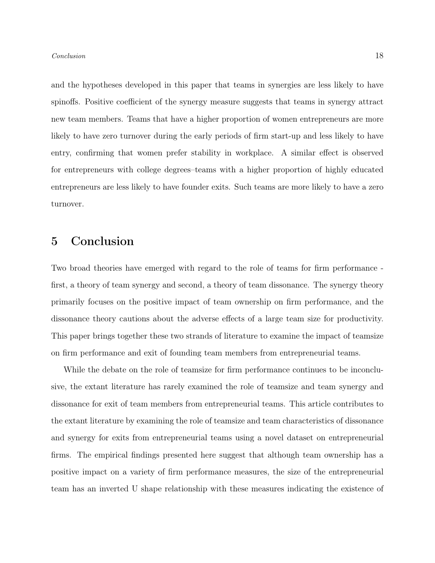and the hypotheses developed in this paper that teams in synergies are less likely to have spinoffs. Positive coefficient of the synergy measure suggests that teams in synergy attract new team members. Teams that have a higher proportion of women entrepreneurs are more likely to have zero turnover during the early periods of firm start-up and less likely to have entry, confirming that women prefer stability in workplace. A similar effect is observed for entrepreneurs with college degrees–teams with a higher proportion of highly educated entrepreneurs are less likely to have founder exits. Such teams are more likely to have a zero turnover.

# 5 Conclusion

Two broad theories have emerged with regard to the role of teams for firm performance first, a theory of team synergy and second, a theory of team dissonance. The synergy theory primarily focuses on the positive impact of team ownership on firm performance, and the dissonance theory cautions about the adverse effects of a large team size for productivity. This paper brings together these two strands of literature to examine the impact of teamsize on firm performance and exit of founding team members from entrepreneurial teams.

While the debate on the role of teamsize for firm performance continues to be inconclusive, the extant literature has rarely examined the role of teamsize and team synergy and dissonance for exit of team members from entrepreneurial teams. This article contributes to the extant literature by examining the role of teamsize and team characteristics of dissonance and synergy for exits from entrepreneurial teams using a novel dataset on entrepreneurial firms. The empirical findings presented here suggest that although team ownership has a positive impact on a variety of firm performance measures, the size of the entrepreneurial team has an inverted U shape relationship with these measures indicating the existence of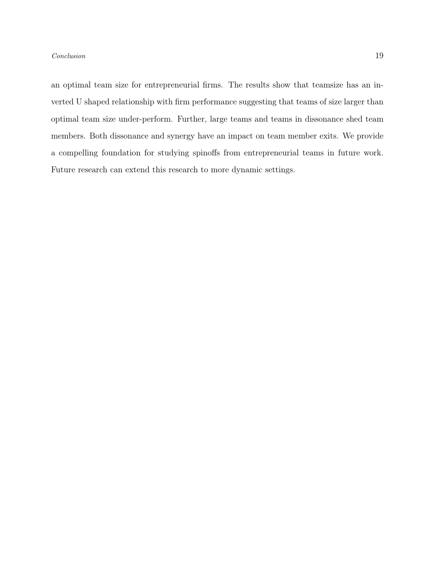### Conclusion 19

an optimal team size for entrepreneurial firms. The results show that teamsize has an inverted U shaped relationship with firm performance suggesting that teams of size larger than optimal team size under-perform. Further, large teams and teams in dissonance shed team members. Both dissonance and synergy have an impact on team member exits. We provide a compelling foundation for studying spinoffs from entrepreneurial teams in future work. Future research can extend this research to more dynamic settings.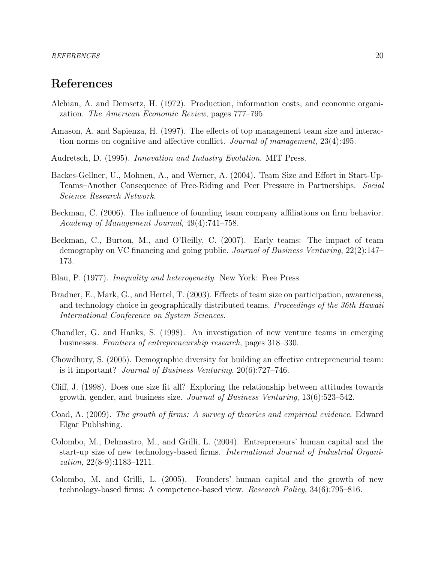# References

- <span id="page-19-1"></span>Alchian, A. and Demsetz, H. (1972). Production, information costs, and economic organization. The American Economic Review, pages 777–795.
- <span id="page-19-3"></span>Amason, A. and Sapienza, H. (1997). The effects of top management team size and interaction norms on cognitive and affective conflict. Journal of management, 23(4):495.
- <span id="page-19-0"></span>Audretsch, D. (1995). Innovation and Industry Evolution. MIT Press.
- <span id="page-19-8"></span>Backes-Gellner, U., Mohnen, A., and Werner, A. (2004). Team Size and Effort in Start-Up-Teams–Another Consequence of Free-Riding and Peer Pressure in Partnerships. Social Science Research Network.
- <span id="page-19-7"></span>Beckman, C. (2006). The influence of founding team company affiliations on firm behavior. Academy of Management Journal, 49(4):741–758.
- <span id="page-19-5"></span>Beckman, C., Burton, M., and O'Reilly, C. (2007). Early teams: The impact of team demography on VC financing and going public. Journal of Business Venturing, 22(2):147– 173.
- <span id="page-19-11"></span>Blau, P. (1977). Inequality and heterogeneity. New York: Free Press.
- <span id="page-19-9"></span>Bradner, E., Mark, G., and Hertel, T. (2003). Effects of team size on participation, awareness, and technology choice in geographically distributed teams. Proceedings of the 36th Hawaii International Conference on System Sciences.
- <span id="page-19-6"></span>Chandler, G. and Hanks, S. (1998). An investigation of new venture teams in emerging businesses. Frontiers of entrepreneurship research, pages 318–330.
- <span id="page-19-2"></span>Chowdhury, S. (2005). Demographic diversity for building an effective entrepreneurial team: is it important? Journal of Business Venturing, 20(6):727–746.
- <span id="page-19-13"></span>Cliff, J. (1998). Does one size fit all? Exploring the relationship between attitudes towards growth, gender, and business size. Journal of Business Venturing, 13(6):523–542.
- <span id="page-19-12"></span>Coad, A. (2009). The growth of firms: A survey of theories and empirical evidence. Edward Elgar Publishing.
- <span id="page-19-10"></span>Colombo, M., Delmastro, M., and Grilli, L. (2004). Entrepreneurs' human capital and the start-up size of new technology-based firms. International Journal of Industrial Organization, 22(8-9):1183–1211.
- <span id="page-19-4"></span>Colombo, M. and Grilli, L. (2005). Founders' human capital and the growth of new technology-based firms: A competence-based view. Research Policy, 34(6):795–816.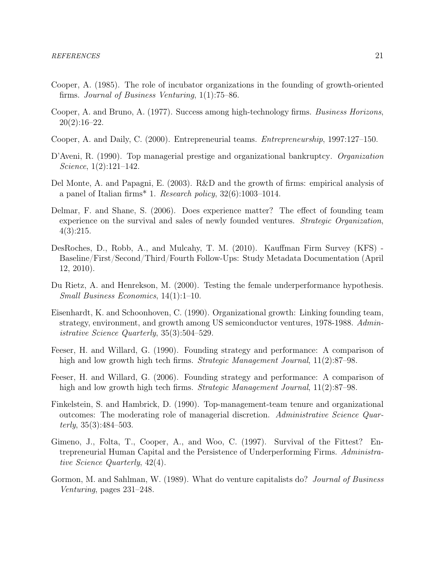- <span id="page-20-6"></span>Cooper, A. (1985). The role of incubator organizations in the founding of growth-oriented firms. Journal of Business Venturing, 1(1):75–86.
- <span id="page-20-2"></span>Cooper, A. and Bruno, A. (1977). Success among high-technology firms. Business Horizons,  $20(2):16-22.$
- <span id="page-20-4"></span>Cooper, A. and Daily, C. (2000). Entrepreneurial teams. Entrepreneurship, 1997:127–150.
- <span id="page-20-5"></span>D'Aveni, R. (1990). Top managerial prestige and organizational bankruptcy. *Organization* Science, 1(2):121–142.
- <span id="page-20-10"></span>Del Monte, A. and Papagni, E. (2003). R&D and the growth of firms: empirical analysis of a panel of Italian firms<sup>\*</sup> 1. Research policy,  $32(6):1003-1014$ .
- <span id="page-20-13"></span>Delmar, F. and Shane, S. (2006). Does experience matter? The effect of founding team experience on the survival and sales of newly founded ventures. *Strategic Organization*, 4(3):215.
- <span id="page-20-8"></span>DesRoches, D., Robb, A., and Mulcahy, T. M. (2010). Kauffman Firm Survey (KFS) - Baseline/First/Second/Third/Fourth Follow-Ups: Study Metadata Documentation (April 12, 2010).
- <span id="page-20-11"></span>Du Rietz, A. and Henrekson, M. (2000). Testing the female underperformance hypothesis. Small Business Economics, 14(1):1–10.
- <span id="page-20-1"></span>Eisenhardt, K. and Schoonhoven, C. (1990). Organizational growth: Linking founding team, strategy, environment, and growth among US semiconductor ventures, 1978-1988. Administrative Science Quarterly, 35(3):504–529.
- <span id="page-20-9"></span>Feeser, H. and Willard, G. (1990). Founding strategy and performance: A comparison of high and low growth high tech firms. *Strategic Management Journal*, 11(2):87–98.
- <span id="page-20-3"></span>Feeser, H. and Willard, G. (2006). Founding strategy and performance: A comparison of high and low growth high tech firms. Strategic Management Journal, 11(2):87–98.
- <span id="page-20-0"></span>Finkelstein, S. and Hambrick, D. (1990). Top-management-team tenure and organizational outcomes: The moderating role of managerial discretion. Administrative Science Quarterly,  $35(3):484-503$ .
- <span id="page-20-7"></span>Gimeno, J., Folta, T., Cooper, A., and Woo, C. (1997). Survival of the Fittest? Entrepreneurial Human Capital and the Persistence of Underperforming Firms. Administrative Science Quarterly, 42(4).
- <span id="page-20-12"></span>Gormon, M. and Sahlman, W. (1989). What do venture capitalists do? *Journal of Business* Venturing, pages 231–248.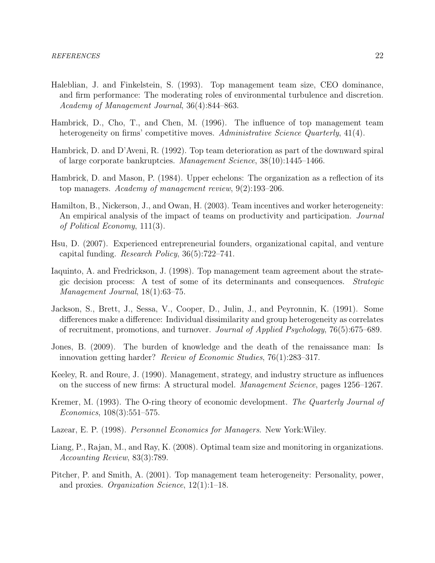- <span id="page-21-4"></span>Haleblian, J. and Finkelstein, S. (1993). Top management team size, CEO dominance, and firm performance: The moderating roles of environmental turbulence and discretion. Academy of Management Journal, 36(4):844–863.
- <span id="page-21-5"></span>Hambrick, D., Cho, T., and Chen, M. (1996). The influence of top management team heterogeneity on firms' competitive moves. Administrative Science Quarterly, 41(4).
- <span id="page-21-8"></span>Hambrick, D. and D'Aveni, R. (1992). Top team deterioration as part of the downward spiral of large corporate bankruptcies. Management Science, 38(10):1445–1466.
- <span id="page-21-10"></span>Hambrick, D. and Mason, P. (1984). Upper echelons: The organization as a reflection of its top managers. Academy of management review, 9(2):193–206.
- <span id="page-21-2"></span>Hamilton, B., Nickerson, J., and Owan, H. (2003). Team incentives and worker heterogeneity: An empirical analysis of the impact of teams on productivity and participation. *Journal* of Political Economy, 111(3).
- <span id="page-21-12"></span>Hsu, D. (2007). Experienced entrepreneurial founders, organizational capital, and venture capital funding. Research Policy, 36(5):722–741.
- <span id="page-21-7"></span>Iaquinto, A. and Fredrickson, J. (1998). Top management team agreement about the strategic decision process: A test of some of its determinants and consequences. Strategic Management Journal, 18(1):63–75.
- <span id="page-21-11"></span>Jackson, S., Brett, J., Sessa, V., Cooper, D., Julin, J., and Peyronnin, K. (1991). Some differences make a difference: Individual dissimilarity and group heterogeneity as correlates of recruitment, promotions, and turnover. Journal of Applied Psychology, 76(5):675–689.
- <span id="page-21-0"></span>Jones, B. (2009). The burden of knowledge and the death of the renaissance man: Is innovation getting harder? Review of Economic Studies, 76(1):283–317.
- <span id="page-21-3"></span>Keeley, R. and Roure, J. (1990). Management, strategy, and industry structure as influences on the success of new firms: A structural model. Management Science, pages 1256–1267.
- <span id="page-21-9"></span>Kremer, M. (1993). The O-ring theory of economic development. The Quarterly Journal of Economics, 108(3):551–575.
- <span id="page-21-1"></span>Lazear, E. P. (1998). Personnel Economics for Managers. New York:Wiley.
- <span id="page-21-6"></span>Liang, P., Rajan, M., and Ray, K. (2008). Optimal team size and monitoring in organizations. Accounting Review, 83(3):789.
- <span id="page-21-13"></span>Pitcher, P. and Smith, A. (2001). Top management team heterogeneity: Personality, power, and proxies. Organization Science, 12(1):1–18.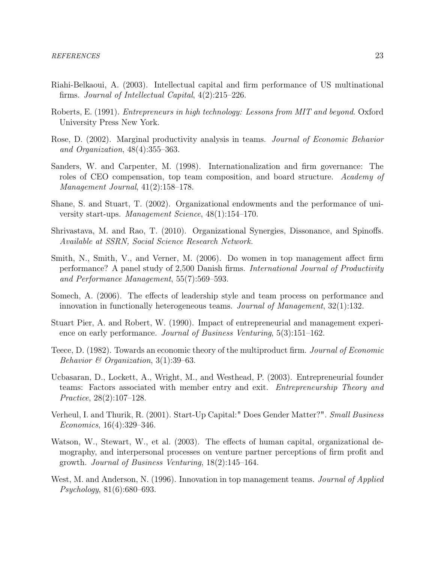- <span id="page-22-11"></span>Riahi-Belkaoui, A. (2003). Intellectual capital and firm performance of US multinational firms. Journal of Intellectual Capital, 4(2):215–226.
- <span id="page-22-7"></span>Roberts, E. (1991). Entrepreneurs in high technology: Lessons from MIT and beyond. Oxford University Press New York.
- <span id="page-22-0"></span>Rose, D. (2002). Marginal productivity analysis in teams. Journal of Economic Behavior and Organization, 48(4):355–363.
- <span id="page-22-5"></span>Sanders, W. and Carpenter, M. (1998). Internationalization and firm governance: The roles of CEO compensation, top team composition, and board structure. Academy of Management Journal, 41(2):158–178.
- <span id="page-22-13"></span>Shane, S. and Stuart, T. (2002). Organizational endowments and the performance of university start-ups. Management Science, 48(1):154–170.
- <span id="page-22-3"></span>Shrivastava, M. and Rao, T. (2010). Organizational Synergies, Dissonance, and Spinoffs. Available at SSRN, Social Science Research Network.
- <span id="page-22-10"></span>Smith, N., Smith, V., and Verner, M. (2006). Do women in top management affect firm performance? A panel study of 2,500 Danish firms. International Journal of Productivity and Performance Management, 55(7):569–593.
- <span id="page-22-1"></span>Somech, A. (2006). The effects of leadership style and team process on performance and innovation in functionally heterogeneous teams. Journal of Management, 32(1):132.
- <span id="page-22-9"></span>Stuart Pier, A. and Robert, W. (1990). Impact of entrepreneurial and management experience on early performance. Journal of Business Venturing, 5(3):151–162.
- <span id="page-22-6"></span>Teece, D. (1982). Towards an economic theory of the multiproduct firm. Journal of Economic Behavior  $\mathcal B$  Organization, 3(1):39–63.
- <span id="page-22-4"></span>Ucbasaran, D., Lockett, A., Wright, M., and Westhead, P. (2003). Entrepreneurial founder teams: Factors associated with member entry and exit. Entrepreneurship Theory and Practice, 28(2):107–128.
- <span id="page-22-12"></span>Verheul, I. and Thurik, R. (2001). Start-Up Capital:" Does Gender Matter?". Small Business Economics, 16(4):329–346.
- <span id="page-22-8"></span>Watson, W., Stewart, W., et al. (2003). The effects of human capital, organizational demography, and interpersonal processes on venture partner perceptions of firm profit and growth. Journal of Business Venturing, 18(2):145–164.
- <span id="page-22-2"></span>West, M. and Anderson, N. (1996). Innovation in top management teams. *Journal of Applied* Psychology, 81(6):680–693.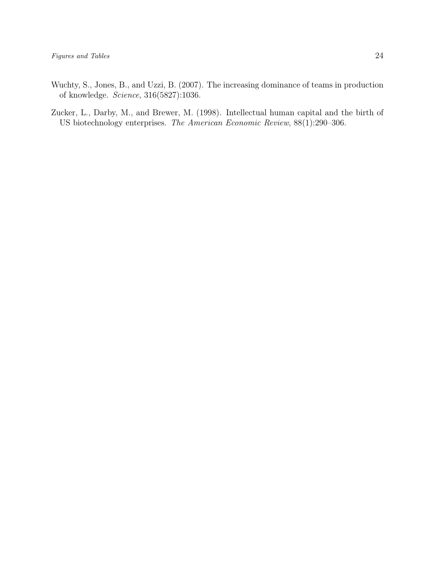- <span id="page-23-0"></span>Wuchty, S., Jones, B., and Uzzi, B. (2007). The increasing dominance of teams in production of knowledge. Science, 316(5827):1036.
- <span id="page-23-1"></span>Zucker, L., Darby, M., and Brewer, M. (1998). Intellectual human capital and the birth of US biotechnology enterprises. The American Economic Review, 88(1):290–306.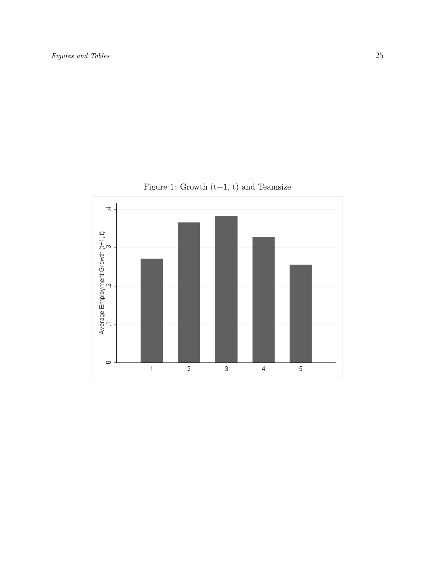

<span id="page-24-0"></span>Figure 1: Growth  $(t+1, t)$  and Teamsize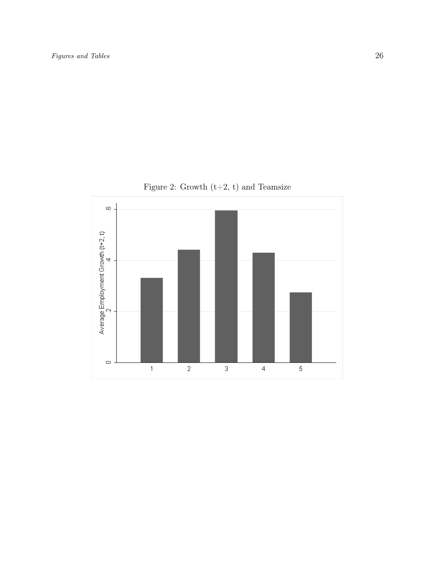

<span id="page-25-0"></span>Figure 2: Growth (t+2, t) and Teamsize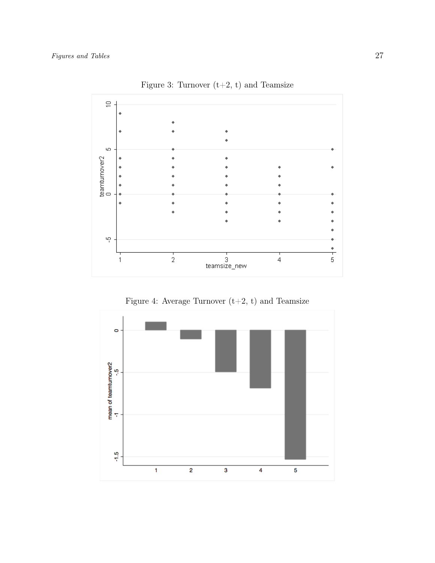

<span id="page-26-0"></span>Figure 3: Turnover  $(t+2, t)$  and Teamsize

<span id="page-26-1"></span>

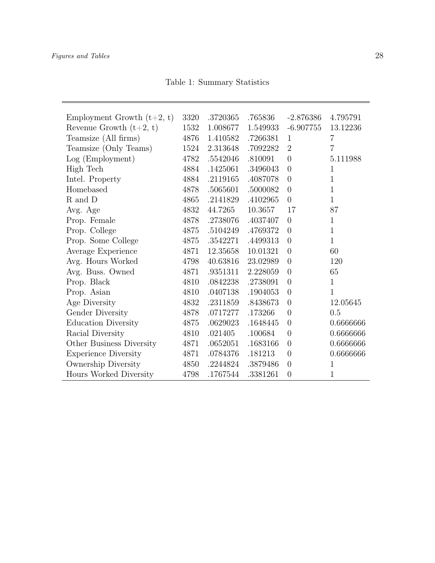<span id="page-27-0"></span>Table 1: Summary Statistics

| Employment Growth $(t+2, t)$ | 3320 | .3720365 | .765836  | $-2.876386$    | 4.795791       |
|------------------------------|------|----------|----------|----------------|----------------|
| Revenue Growth $(t+2, t)$    | 1532 | 1.008677 | 1.549933 | $-6.907755$    | 13.12236       |
| Teamsize (All firms)         | 4876 | 1.410582 | .7266381 | $\mathbf{1}$   | $\overline{7}$ |
| Teamsize (Only Teams)        | 1524 | 2.313648 | .7092282 | $\overline{2}$ | $\overline{7}$ |
| Log (Employment)             | 4782 | .5542046 | .810091  | $\overline{0}$ | 5.111988       |
| High Tech                    | 4884 | .1425061 | .3496043 | $\overline{0}$ | 1              |
| Intel. Property              | 4884 | .2119165 | .4087078 | $\theta$       | $\mathbf{1}$   |
| Homebased                    | 4878 | .5065601 | .5000082 | $\overline{0}$ | $\mathbf{1}$   |
| R and D                      | 4865 | .2141829 | .4102965 | $\overline{0}$ | $\mathbf{1}$   |
| Avg. Age                     | 4832 | 44.7265  | 10.3657  | 17             | 87             |
| Prop. Female                 | 4878 | .2738076 | .4037407 | $\overline{0}$ | $\mathbf{1}$   |
| Prop. College                | 4875 | .5104249 | .4769372 | $\theta$       | $\mathbf{1}$   |
| Prop. Some College           | 4875 | .3542271 | .4499313 | $\overline{0}$ | $\mathbf{1}$   |
| Average Experience           | 4871 | 12.35658 | 10.01321 | $\theta$       | 60             |
| Avg. Hours Worked            | 4798 | 40.63816 | 23.02989 | $\theta$       | 120            |
| Avg. Buss. Owned             | 4871 | .9351311 | 2.228059 | $\overline{0}$ | 65             |
| Prop. Black                  | 4810 | .0842238 | .2738091 | $\theta$       | $\mathbf{1}$   |
| Prop. Asian                  | 4810 | .0407138 | .1904053 | $\theta$       | $\mathbf{1}$   |
| Age Diversity                | 4832 | .2311859 | .8438673 | $\overline{0}$ | 12.05645       |
| Gender Diversity             | 4878 | .0717277 | .173266  | $\theta$       | 0.5            |
| <b>Education Diversity</b>   | 4875 | .0629023 | .1648445 | $\theta$       | 0.6666666      |
| Racial Diversity             | 4810 | .021405  | .100684  | $\overline{0}$ | 0.6666666      |
| Other Business Diversity     | 4871 | .0652051 | .1683166 | $\overline{0}$ | 0.6666666      |
| <b>Experience Diversity</b>  | 4871 | .0784376 | .181213  | $\overline{0}$ | 0.6666666      |
| Ownership Diversity          | 4850 | .2244824 | .3879486 | $\overline{0}$ | $\mathbf{1}$   |
| Hours Worked Diversity       | 4798 | .1767544 | .3381261 | $\overline{0}$ | 1              |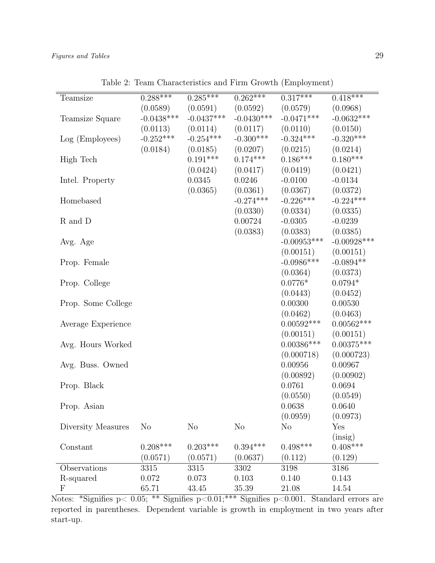| Teamsize                  | $0.288***$     | $0.285***$             | $0.262***$             | $0.317***$               | $0.418***$        |
|---------------------------|----------------|------------------------|------------------------|--------------------------|-------------------|
|                           | (0.0589)       | (0.0591)               | (0.0592)               | (0.0579)                 | (0.0968)          |
| Teamsize Square           | $-0.0438***$   | $-0.0437***$           | $-0.0430***$           | $-0.0471***$             | $-0.0632***$      |
|                           | (0.0113)       | (0.0114)               | (0.0117)               | (0.0110)                 | (0.0150)          |
| Log (Employees)           | $-0.252***$    | $-0.254***$            | $-0.300***$            | $-0.324***$              | $-0.320***$       |
|                           | (0.0184)       |                        |                        |                          | (0.0214)          |
|                           |                | (0.0185)<br>$0.191***$ | (0.0207)<br>$0.174***$ | (0.0215)<br>$0.186***$   | $0.180***$        |
| High Tech                 |                |                        |                        |                          |                   |
|                           |                | (0.0424)<br>0.0345     | (0.0417)               | (0.0419)                 | (0.0421)          |
| Intel. Property           |                |                        | 0.0246                 | $-0.0100$                | $-0.0134$         |
|                           |                | (0.0365)               | (0.0361)               | (0.0367)                 | (0.0372)          |
| Homebased                 |                |                        | $-0.274***$            | $-0.226***$              | $-0.224***$       |
|                           |                |                        | (0.0330)               | (0.0334)                 | (0.0335)          |
| R and D                   |                |                        | 0.00724                | $-0.0305$                | $-0.0239$         |
|                           |                |                        | (0.0383)               | (0.0383)                 | (0.0385)          |
| Avg. Age                  |                |                        |                        | $-0.00953***$            | $-0.00928***$     |
|                           |                |                        |                        | (0.00151)                | (0.00151)         |
| Prop. Female              |                |                        |                        | $-0.0986***$             | $-0.0894**$       |
|                           |                |                        |                        | (0.0364)                 | (0.0373)          |
| Prop. College             |                |                        |                        | $0.0776*$                | $0.0794*$         |
|                           |                |                        |                        | (0.0443)                 | (0.0452)          |
| Prop. Some College        |                |                        |                        | 0.00300                  | 0.00530           |
|                           |                |                        |                        | (0.0462)                 | (0.0463)          |
| Average Experience        |                |                        |                        | $0.00592***$             | $0.00562***$      |
|                           |                |                        |                        | (0.00151)                | (0.00151)         |
| Avg. Hours Worked         |                |                        |                        | $0.00386^{\ast\ast\ast}$ | $0.00375^{***}\,$ |
|                           |                |                        |                        | (0.000718)               | (0.000723)        |
| Avg. Buss. Owned          |                |                        |                        | 0.00956                  | 0.00967           |
|                           |                |                        |                        | (0.00892)                | (0.00902)         |
| Prop. Black               |                |                        |                        | 0.0761                   | 0.0694            |
|                           |                |                        |                        | (0.0550)                 | (0.0549)          |
| Prop. Asian               |                |                        |                        | 0.0638                   | 0.0640            |
|                           |                |                        |                        | (0.0959)                 | (0.0973)          |
| Diversity Measures        | N <sub>o</sub> | N <sub>o</sub>         | N <sub>o</sub>         | $\rm No$                 | Yes               |
|                           |                |                        |                        |                          | (insig)           |
| Constant                  | $0.208***$     | $0.203***$             | $0.394***$             | $0.498***$               | $0.408***$        |
|                           | (0.0571)       | (0.0571)               | (0.0637)               | (0.112)                  | (0.129)           |
| Observations              | 3315           | 3315                   | 3302                   | 3198                     | 3186              |
| R-squared                 | 0.072          | 0.073                  | 0.103                  | 0.140                    | 0.143             |
| $\boldsymbol{\mathrm{F}}$ | 65.71          | 43.45                  | 35.39                  | 21.08                    | 14.54             |

<span id="page-28-0"></span>Table 2: Team Characteristics and Firm Growth (Employment)

Notes: \*Signifies p< 0.05; \*\* Signifies p<0.01;\*\*\* Signifies p<0.001. Standard errors are reported in parentheses. Dependent variable is growth in employment in two years after start-up.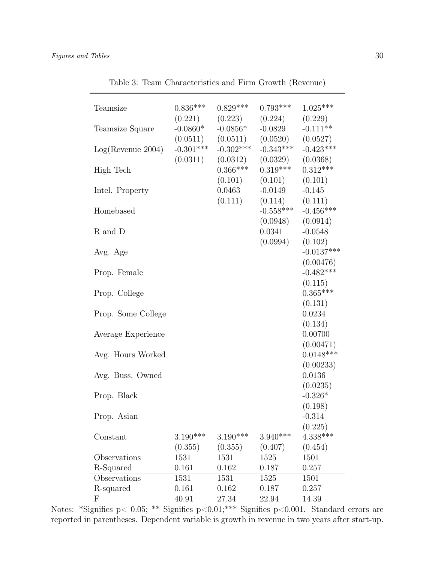| Teamsize                  | $0.836***$            | $0.829***$                                                    | $0.793***$                                                    | $1.025***$                |
|---------------------------|-----------------------|---------------------------------------------------------------|---------------------------------------------------------------|---------------------------|
| Teamsize Square           | $-0.0860*$            | $(0.221)$ $(0.223)$<br>$-0.0856*$                             | $(0.224)$ $(0.229)$<br>$-0.0829$                              | $-0.111**$                |
| $Log($ Revenue 2004 $)$   | $-0.301***$           | $(0.0511)$ $(0.0511)$<br>$-0.302***$<br>$(0.0311)$ $(0.0312)$ | $(0.0520)$ $(0.0527)$<br>$-0.343***$<br>$(0.0329)$ $(0.0368)$ | $-0.423***$               |
| High Tech                 |                       | $0.366***$<br>(0.101)                                         | $0.319***$<br>(0.101)                                         | $0.312***$<br>(0.101)     |
| Intel. Property           |                       | 0.0463<br>(0.111)                                             | $-0.0149$<br>$(0.114)$ $(0.111)$                              | $-0.145$                  |
| Homebased                 |                       |                                                               | $(0.0948)$ $(0.0914)$                                         | $-0.558***$ $-0.456***$   |
| R and D                   |                       |                                                               | 0.0341<br>$(0.0994)$ $(0.102)$                                | $-0.0548$                 |
| Avg. Age                  |                       |                                                               |                                                               | $-0.0137***$<br>(0.00476) |
| Prop. Female              |                       |                                                               |                                                               | $-0.482***$<br>(0.115)    |
| Prop. College             |                       |                                                               |                                                               | $0.365***$<br>(0.131)     |
| Prop. Some College        |                       |                                                               |                                                               | 0.0234<br>(0.134)         |
| Average Experience        |                       |                                                               |                                                               | 0.00700<br>(0.00471)      |
| Avg. Hours Worked         |                       |                                                               |                                                               | $0.0148***$<br>(0.00233)  |
| Avg. Buss. Owned          |                       |                                                               |                                                               | 0.0136<br>(0.0235)        |
| Prop. Black               |                       |                                                               |                                                               | $-0.326*$<br>(0.198)      |
| Prop. Asian               |                       |                                                               |                                                               | $-0.314$<br>(0.225)       |
| Constant                  | $3.190***$<br>(0.355) | $3.190***$<br>(0.355)                                         | $3.940***$<br>(0.407)                                         | $4.338***$<br>(0.454)     |
| Observations              | 1531                  | 1531                                                          | 1525                                                          | 1501                      |
| R-Squared                 | 0.161                 | 0.162                                                         | 0.187                                                         | 0.257                     |
| Observations              | 1531                  | 1531                                                          | 1525                                                          | 1501                      |
| R-squared                 | 0.161                 | 0.162                                                         | 0.187                                                         | 0.257                     |
| $\boldsymbol{\mathrm{F}}$ | 40.91                 | 27.34                                                         | 22.94                                                         | 14.39                     |

<span id="page-29-0"></span>Table 3: Team Characteristics and Firm Growth (Revenue)

Notes: \*Signifies p< 0.05; \*\* Signifies p<0.01; \*\*\* Signifies p<0.001. Standard errors are reported in parentheses. Dependent variable is growth in revenue in two years after start-up.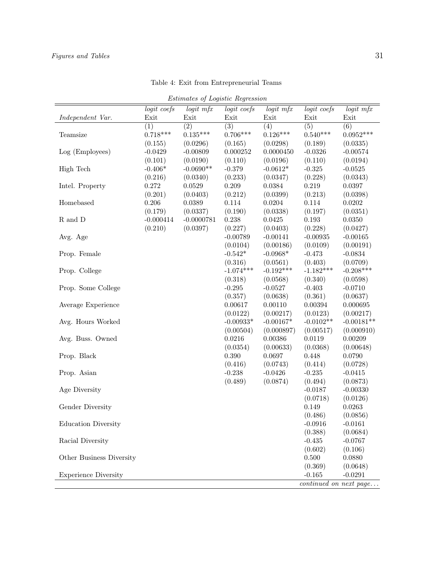<span id="page-30-0"></span>

| Estimates of Logistic Regression |             |                  |                  |             |             |                                     |  |  |
|----------------------------------|-------------|------------------|------------------|-------------|-------------|-------------------------------------|--|--|
|                                  | logit coefs | $logit$ mfx      | logit coefs      | logit mfx   | logit coefs | logit mfx                           |  |  |
| Independent Var.                 | Exit        | Exit             | Exit             | Exit        | Exit        | Exit                                |  |  |
|                                  | (1)         | $\overline{(2)}$ | $\overline{(3)}$ | (4)         | (5)         | $\overline{(6)}$                    |  |  |
| Teamsize                         | $0.718***$  | $0.135***$       | $0.706***$       | $0.126***$  | $0.540***$  | $0.0952***$                         |  |  |
|                                  | (0.155)     | (0.0296)         | (0.165)          | (0.0298)    | (0.189)     | (0.0335)                            |  |  |
| Log (Employees)                  | $-0.0429$   | $-0.00809$       | 0.000252         | 0.0000450   | $-0.0326$   | $-0.00574$                          |  |  |
|                                  | (0.101)     | (0.0190)         | (0.110)          | (0.0196)    | (0.110)     | (0.0194)                            |  |  |
| High Tech                        | $-0.406*$   | $-0.0690**$      | $-0.379$         | $-0.0612*$  | $-0.325$    | $-0.0525$                           |  |  |
|                                  | (0.216)     | (0.0340)         | (0.233)          | (0.0347)    | (0.228)     | (0.0343)                            |  |  |
| Intel. Property                  | 0.272       | 0.0529           | 0.209            | 0.0384      | 0.219       | 0.0397                              |  |  |
|                                  | (0.201)     | (0.0403)         | (0.212)          | (0.0399)    | (0.213)     | (0.0398)                            |  |  |
| Homebased                        | 0.206       | 0.0389           | 0.114            | 0.0204      | 0.114       | 0.0202                              |  |  |
|                                  | (0.179)     | (0.0337)         | (0.190)          | (0.0338)    | (0.197)     | (0.0351)                            |  |  |
| R and D                          | $-0.000414$ | $-0.0000781$     | 0.238            | 0.0425      | 0.193       | 0.0350                              |  |  |
|                                  | (0.210)     | (0.0397)         | (0.227)          | (0.0403)    | (0.228)     | (0.0427)                            |  |  |
| Avg. Age                         |             |                  | $-0.00789$       | $-0.00141$  | $-0.00935$  | $-0.00165$                          |  |  |
|                                  |             |                  | (0.0104)         | (0.00186)   | (0.0109)    | (0.00191)                           |  |  |
| Prop. Female                     |             |                  | $-0.542*$        | $-0.0968*$  | $-0.473$    | $-0.0834$                           |  |  |
|                                  |             |                  | (0.316)          | (0.0561)    | (0.403)     | (0.0709)                            |  |  |
| Prop. College                    |             |                  | $-1.074***$      | $-0.192***$ | $-1.182***$ | $-0.208***$                         |  |  |
|                                  |             |                  | (0.318)          | (0.0568)    | (0.340)     | (0.0598)                            |  |  |
| Prop. Some College               |             |                  | $-0.295$         | $-0.0527$   | $-0.403$    | $-0.0710$                           |  |  |
|                                  |             |                  | (0.357)          | (0.0638)    | (0.361)     | (0.0637)                            |  |  |
| Average Experience               |             |                  | 0.00617          | 0.00110     | 0.00394     | 0.000695                            |  |  |
|                                  |             |                  | (0.0122)         | (0.00217)   | (0.0123)    | (0.00217)                           |  |  |
| Avg. Hours Worked                |             |                  | $-0.00933*$      | $-0.00167*$ | $-0.0102**$ | $-0.00181**$                        |  |  |
|                                  |             |                  | (0.00504)        | (0.000897)  | (0.00517)   | (0.000910)                          |  |  |
| Avg. Buss. Owned                 |             |                  | 0.0216           | 0.00386     | 0.0119      | 0.00209                             |  |  |
|                                  |             |                  | (0.0354)         | (0.00633)   | (0.0368)    | (0.00648)                           |  |  |
| Prop. Black                      |             |                  | 0.390            | 0.0697      | 0.448       | 0.0790                              |  |  |
|                                  |             |                  | (0.416)          | (0.0743)    | (0.414)     | (0.0728)                            |  |  |
| Prop. Asian                      |             |                  | $-0.238$         | $-0.0426$   | $-0.235$    | $-0.0415$                           |  |  |
|                                  |             |                  | (0.489)          | (0.0874)    | (0.494)     | (0.0873)                            |  |  |
| Age Diversity                    |             |                  |                  |             | $-0.0187$   | $-0.00330$                          |  |  |
|                                  |             |                  |                  |             | (0.0718)    | (0.0126)                            |  |  |
| Gender Diversity                 |             |                  |                  |             | 0.149       | 0.0263                              |  |  |
|                                  |             |                  |                  |             | (0.486)     | (0.0856)                            |  |  |
| <b>Education Diversity</b>       |             |                  |                  |             | $-0.0916$   | $-0.0161$                           |  |  |
|                                  |             |                  |                  |             | (0.388)     | (0.0684)                            |  |  |
| Racial Diversity                 |             |                  |                  |             | $-0.435$    | $-0.0767$                           |  |  |
|                                  |             |                  |                  |             | (0.602)     | (0.106)                             |  |  |
| Other Business Diversity         |             |                  |                  |             | 0.500       | 0.0880                              |  |  |
|                                  |             |                  |                  |             | (0.369)     | (0.0648)                            |  |  |
| <b>Experience Diversity</b>      |             |                  |                  |             | $-0.165$    | $-0.0291$                           |  |  |
|                                  |             |                  |                  |             |             | $\overline{continued}$ on next page |  |  |

Table 4: Exit from Entrepreneurial Teams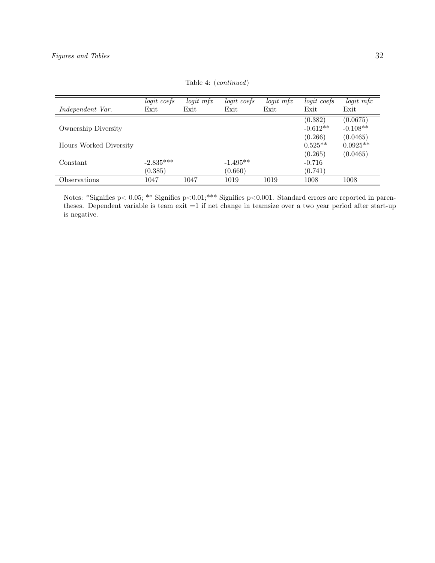|                        | logit coefs | $logit$ mfx | logit coefs | $logit$ mfx | logit coefs | $logit$ mfx |
|------------------------|-------------|-------------|-------------|-------------|-------------|-------------|
| Independent Var.       | Exit        | Exit        | Exit        | Exit        | Exit        | Exit        |
|                        |             |             |             |             | (0.382)     | (0.0675)    |
| Ownership Diversity    |             |             |             |             | $-0.612**$  | $-0.108**$  |
|                        |             |             |             |             | (0.266)     | (0.0465)    |
| Hours Worked Diversity |             |             |             |             | $0.525**$   | $0.0925**$  |
|                        |             |             |             |             | (0.265)     | (0.0465)    |
| Constant               | $-2.835***$ |             | $-1.495**$  |             | $-0.716$    |             |
|                        | (0.385)     |             | (0.660)     |             | (0.741)     |             |
| Observations           | 1047        | 1047        | 1019        | 1019        | 1008        | 1008        |

Table 4: (continued)

Notes: \*Signifies p< 0.05; \*\* Signifies p<0.01;\*\*\* Signifies p<0.001. Standard errors are reported in parentheses. Dependent variable is team exit =1 if net change in teamsize over a two year period after start-up is negative.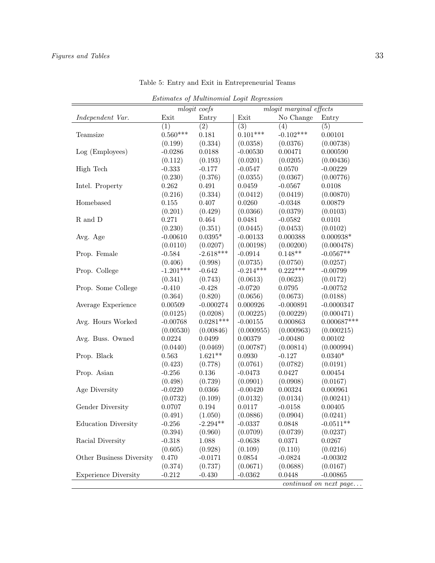<span id="page-32-0"></span>

| Estimates of Multinomial Logit Regression |                     |             |             |             |                        |  |  |
|-------------------------------------------|---------------------|-------------|-------------|-------------|------------------------|--|--|
| mlogit coefs<br>mlogit marginal effects   |                     |             |             |             |                        |  |  |
| Independent Var.                          | Exit                | Entry       | Exit        | No Change   | Entry                  |  |  |
|                                           | (1)                 | (2)         | (3)         | (4)         | (5)                    |  |  |
| Teamsize                                  | $0.560***$          | 0.181       | $0.101***$  | $-0.102***$ | 0.00101                |  |  |
|                                           | (0.199)             | (0.334)     | (0.0358)    | (0.0376)    | (0.00738)              |  |  |
| Log (Employees)                           | $-0.0286$           | 0.0188      | $-0.00530$  | 0.00471     | 0.000590               |  |  |
|                                           | (0.112)             | (0.193)     | (0.0201)    | (0.0205)    | (0.00436)              |  |  |
| High Tech                                 | $-0.333$            | $-0.177$    | $-0.0547$   | 0.0570      | $-0.00229$             |  |  |
|                                           | (0.230)             | (0.376)     | (0.0355)    | (0.0367)    | (0.00776)              |  |  |
| Intel. Property                           | 0.262               | 0.491       | 0.0459      | $-0.0567$   | 0.0108                 |  |  |
|                                           | (0.216)             | (0.334)     | (0.0412)    | (0.0419)    | (0.00870)              |  |  |
| Homebased                                 | 0.155               | 0.407       | 0.0260      | $-0.0348$   | 0.00879                |  |  |
|                                           | (0.201)             | (0.429)     | (0.0366)    | (0.0379)    | (0.0103)               |  |  |
| $\mathbf R$ and $\mathbf D$               | 0.271               | 0.464       | 0.0481      | $-0.0582$   | 0.0101                 |  |  |
|                                           | (0.230)             | (0.351)     | (0.0445)    | (0.0453)    | (0.0102)               |  |  |
| Avg. Age                                  | $-0.00610$          | $0.0395*$   | $-0.00133$  | 0.000388    | $0.000938*$            |  |  |
|                                           | (0.0110)            | (0.0207)    | (0.00198)   | (0.00200)   | (0.000478)             |  |  |
| Prop. Female                              | $-0.584$            | $-2.618***$ | $-0.0914$   | $0.148**$   | $-0.0567**$            |  |  |
|                                           | (0.406)             | (0.998)     | (0.0735)    | (0.0750)    | (0.0257)               |  |  |
| Prop. College                             | $-1.201***$         | $-0.642$    | $-0.214***$ | $0.222***$  | $-0.00799$             |  |  |
|                                           |                     | (0.743)     | (0.0613)    | (0.0623)    | (0.0172)               |  |  |
| Prop. Some College                        | (0.341)<br>$-0.410$ | $-0.428$    | $-0.0720$   | 0.0795      | $-0.00752$             |  |  |
|                                           |                     |             |             |             |                        |  |  |
|                                           | (0.364)             | (0.820)     | (0.0656)    | (0.0673)    | (0.0188)               |  |  |
| Average Experience                        | 0.00509             | $-0.000274$ | 0.000926    | $-0.000891$ | $-0.0000347$           |  |  |
|                                           | (0.0125)            | (0.0208)    | (0.00225)   | (0.00229)   | (0.000471)             |  |  |
| Avg. Hours Worked                         | $-0.00768$          | $0.0281***$ | $-0.00155$  | 0.000863    | $0.000687***$          |  |  |
|                                           | (0.00530)           | (0.00846)   | (0.000955)  | (0.000963)  | (0.000215)             |  |  |
| Avg. Buss. Owned                          | 0.0224              | 0.0499      | 0.00379     | $-0.00480$  | 0.00102                |  |  |
|                                           | (0.0440)            | (0.0469)    | (0.00787)   | (0.00814)   | (0.000994)             |  |  |
| Prop. Black                               | 0.563               | $1.621**$   | 0.0930      | $-0.127$    | $0.0340*$              |  |  |
|                                           | (0.423)             | (0.778)     | (0.0761)    | (0.0782)    | (0.0191)               |  |  |
| Prop. Asian                               | $-0.256$            | 0.136       | $-0.0473$   | 0.0427      | 0.00454                |  |  |
|                                           | (0.498)             | (0.739)     | (0.0901)    | (0.0908)    | (0.0167)               |  |  |
| Age Diversity                             | $-0.0220$           | 0.0366      | $-0.00420$  | 0.00324     | 0.000961               |  |  |
|                                           | (0.0732)            | (0.109)     | (0.0132)    | (0.0134)    | (0.00241)              |  |  |
| Gender Diversity                          | 0.0707              | 0.194       | 0.0117      | $-0.0158$   | 0.00405                |  |  |
|                                           | (0.491)             | (1.050)     | (0.0886)    | (0.0904)    | (0.0241)               |  |  |
| <b>Education Diversity</b>                | $-0.256$            | $-2.294**$  | $-0.0337$   | 0.0848      | $-0.0511**$            |  |  |
|                                           | (0.394)             | (0.960)     | (0.0709)    | (0.0739)    | (0.0237)               |  |  |
| Racial Diversity                          | $-0.318$            | 1.088       | $-0.0638$   | 0.0371      | 0.0267                 |  |  |
|                                           | (0.605)             | (0.928)     | (0.109)     | (0.110)     | (0.0216)               |  |  |
| Other Business Diversity                  | 0.470               | $-0.0171$   | 0.0854      | $-0.0824$   | $-0.00302$             |  |  |
|                                           | (0.374)             | (0.737)     | (0.0671)    | (0.0688)    | (0.0167)               |  |  |
| <b>Experience Diversity</b>               | $-0.212$            | $-0.430$    | $-0.0362$   | 0.0448      | $-0.00865$             |  |  |
|                                           |                     |             |             |             | continued on next page |  |  |

Table 5: Entry and Exit in Entrepreneurial Teams